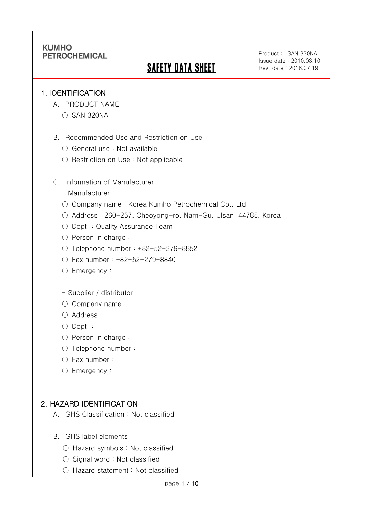# **SAFETY DATA SHEET**

Product: SAN 320NA Issue date:2010.03.10 Rev. date : 2018.07.19

### 1. IDENTIFICATION

Ī

- A. PRODUCT NAME
	- SAN 320NA
- B. Recommended Use and Restriction on Use
	- General use : Not available
	- Restriction on Use : Not applicable
- C. Information of Manufacturer
	- Manufacturer
	- Company name: Korea Kumho Petrochemical Co., Ltd.
	- Address : 260-257, Cheoyong-ro, Nam-Gu, Ulsan, 44785, Korea
	- Dept. : Quality Assurance Team
	- Person in charge :
	- Telephone number : +82-52-279-8852
	- Fax number : +82-52-279-8840
	- Emergency:
	- Supplier / distributor
	- Company name:
	- Address :
	- Dept. :
	- Person in charge :
	- Telephone number :
	- Fax number :
	- Emergency:

## 2. HAZARD IDENTIFICATION

- A. GHS Classification : Not classified
- B. GHS label elements
	- Hazard symbols : Not classified
	- Signal word : Not classified
	- Hazard statement : Not classified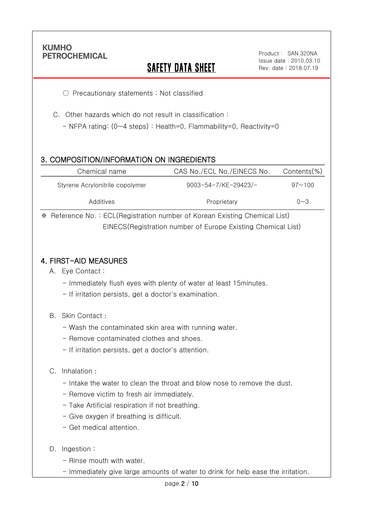Ī

## SAFETY DATA SHEET

○ Precautionary statements : Not classified

C. Other hazards which do not result in classification :

- NFPA rating: (0~4 steps) : Health=0, Flammability=0, Reactivity=0

## 3. COMPOSITION/INFORMATION ON INGREDIENTS

| Chemical name                   | CAS No./ECL No./EINECS No.  | Contents(%) |
|---------------------------------|-----------------------------|-------------|
| Styrene Acrylonitrile copolymer | $9003 - 54 - 7$ /KE-29423/- | $97 - 100$  |
| Additives                       | Proprietary                 | $0 - 3$     |

※ Reference No. : ECL(Registration number of Korean Existing Chemical List) EINECS(Registration number of Europe Existing Chemical List)

### 4. FIRST-AID MEASURES

- A. Eye Contact :
	- Immediately flush eyes with plenty of water at least 15minutes.
	- If irritation persists, get a doctor's examination.
- B. Skin Contact :
	- Wash the contaminated skin area with running water.
	- Remove contaminated clothes and shoes.
	- If irritation persists, get a doctor's attention.

#### C. Inhalation :

- Intake the water to clean the throat and blow nose to remove the dust.
- Remove victim to fresh air immediately.
- Take Artificial respiration if not breathing.
- Give oxygen if breathing is difficult.
- Get medical attention.
- D. Ingestion:
	- Rinse mouth with water.
	- Immediately give large amounts of water to drink for help ease the irritation.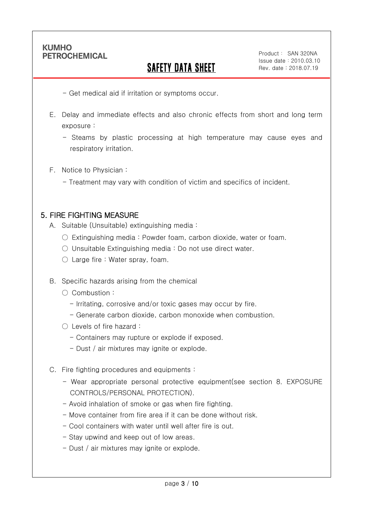Ī

# SAFETY DATA SHEET

- Get medical aid if irritation or symptoms occur.

- E. Delay and immediate effects and also chronic effects from short and long term exposure :
	- Steams by plastic processing at high temperature may cause eyes and respiratory irritation.
- F. Notice to Physician :
	- Treatment may vary with condition of victim and specifics of incident.

### 5. FIRE FIGHTING MEASURE

- A. Suitable (Unsuitable) extinguishing media :
	- $\circ$  Extinguishing media : Powder foam, carbon dioxide, water or foam.
	- Unsuitable Extinguishing media : Do not use direct water.
	- Large fire : Water spray, foam.
- B. Specific hazards arising from the chemical
	- Combustion :
		- Irritating, corrosive and/or toxic gases may occur by fire.
		- Generate carbon dioxide, carbon monoxide when combustion.
	- Levels of fire hazard :
		- Containers may rupture or explode if exposed.
		- Dust / air mixtures may ignite or explode.
- C. Fire fighting procedures and equipments :
	- Wear appropriate personal protective equipment(see section 8. EXPOSURE CONTROLS/PERSONAL PROTECTION).
	- Avoid inhalation of smoke or gas when fire fighting.
	- Move container from fire area if it can be done without risk.
	- Cool containers with water until well after fire is out.
	- Stay upwind and keep out of low areas.
	- Dust / air mixtures may ignite or explode.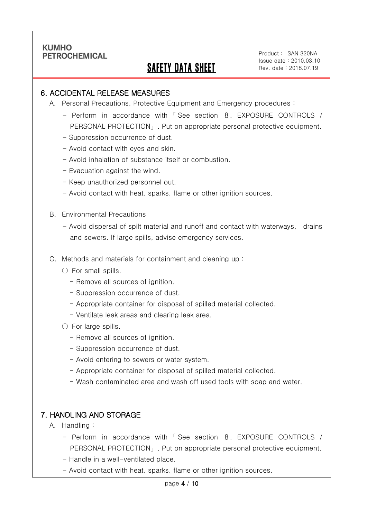Ī

## SAFETY DATA SHEET

Product: SAN 320NA Issue date:2010.03.10 Rev. date : 2018.07.19

### 6. ACCIDENTAL RELEASE MEASURES

- A. Personal Precautions, Protective Equipment and Emergency procedures :
	- Perform in accordance with 「 See section 8. EXPOSURE CONTROLS / PERSONAL PROTECTION」. Put on appropriate personal protective equipment.
	- Suppression occurrence of dust.
	- Avoid contact with eyes and skin.
	- Avoid inhalation of substance itself or combustion.
	- Evacuation against the wind.
	- Keep unauthorized personnel out.
	- Avoid contact with heat, sparks, flame or other ignition sources.
- B. Environmental Precautions
	- Avoid dispersal of spilt material and runoff and contact with waterways, drains and sewers. If large spills, advise emergency services.
- C. Methods and materials for containment and cleaning up :
	- $\bigcirc$  For small spills.
		- Remove all sources of ignition.
		- Suppression occurrence of dust.
		- Appropriate container for disposal of spilled material collected.
		- Ventilate leak areas and clearing leak area.
	- For large spills.
		- Remove all sources of ignition.
		- Suppression occurrence of dust.
		- Avoid entering to sewers or water system.
		- Appropriate container for disposal of spilled material collected.
		- Wash contaminated area and wash off used tools with soap and water.

### 7. HANDLING AND STORAGE

- A. Handling :
	- Perform in accordance with 「 See section 8. EXPOSURE CONTROLS / PERSONAL PROTECTION」. Put on appropriate personal protective equipment.
	- Handle in a well-ventilated place.
	- Avoid contact with heat, sparks, flame or other ignition sources.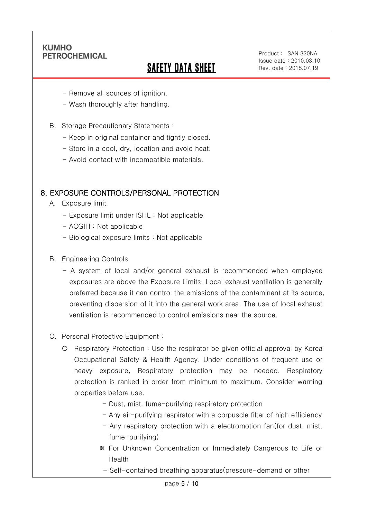Ī

# SAFETY DATA SHEET

- Remove all sources of ignition.
- Wash thoroughly after handling.
- B. Storage Precautionary Statements :
	- Keep in original container and tightly closed.
	- Store in a cool, dry, location and avoid heat.
	- Avoid contact with incompatible materials.

### 8. EXPOSURE CONTROLS/PERSONAL PROTECTION

- A. Exposure limit
	- Exposure limit under ISHL : Not applicable
	- ACGIH : Not applicable
	- Biological exposure limits : Not applicable
- B. Engineering Controls
	- A system of local and/or general exhaust is recommended when employee exposures are above the Exposure Limits. Local exhaust ventilation is generally preferred because it can control the emissions of the contaminant at its source, preventing dispersion of it into the general work area. The use of local exhaust ventilation is recommended to control emissions near the source.
- C. Personal Protective Equipment :
	- Respiratory Protection : Use the respirator be given official approval by Korea Occupational Safety & Health Agency. Under conditions of frequent use or heavy exposure, Respiratory protection may be needed. Respiratory protection is ranked in order from minimum to maximum. Consider warning properties before use.
		- Dust, mist, fume-purifying respiratory protection
		- Any air-purifying respirator with a corpuscle filter of high efficiency
		- Any respiratory protection with a electromotion fan(for dust, mist, fume-purifying)
		- ※ For Unknown Concentration or Immediately Dangerous to Life or Health
			- Self-contained breathing apparatus(pressure-demand or other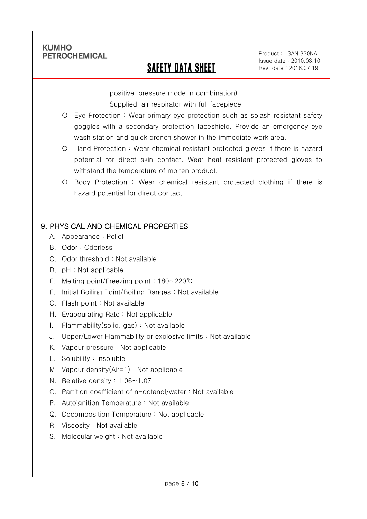Ī

## SAFETY DATA SHEET

Product: SAN 320NA Issue date:2010.03.10 Rev. date : 2018.07.19

positive-pressure mode in combination)

- Supplied-air respirator with full facepiece
- Eye Protection : Wear primary eye protection such as splash resistant safety goggles with a secondary protection faceshield. Provide an emergency eye wash station and quick drench shower in the immediate work area.
- Hand Protection : Wear chemical resistant protected gloves if there is hazard potential for direct skin contact. Wear heat resistant protected gloves to withstand the temperature of molten product.
- Body Protection : Wear chemical resistant protected clothing if there is hazard potential for direct contact.

## 9. PHYSICAL AND CHEMICAL PROPERTIES

- A. Appearance : Pellet
- B. Odor : Odorless
- C. Odor threshold : Not available
- D. pH : Not applicable
- E. Melting point/Freezing point : 180~220℃
- F. Initial Boiling Point/Boiling Ranges : Not available
- G. Flash point : Not available
- H. Evapourating Rate : Not applicable
- I. Flammability(solid, gas) : Not available
- J. Upper/Lower Flammability or explosive limits : Not available
- K. Vapour pressure : Not applicable
- L. Solubility : Insoluble
- M. Vapour density(Air=1) : Not applicable
- N. Relative density : 1.06~1.07
- O. Partition coefficient of n-octanol/water : Not available
- P. Autoignition Temperature : Not available
- Q. Decomposition Temperature : Not applicable
- R. Viscosity : Not available
- S. Molecular weight : Not available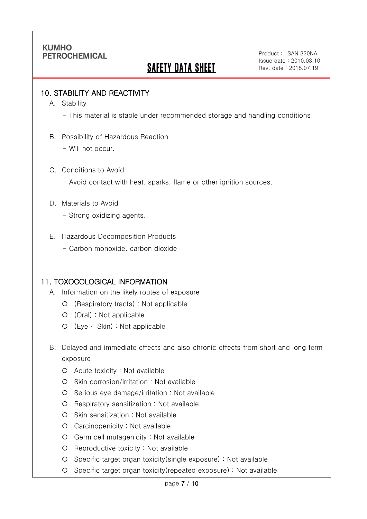# **SAFETY DATA SHEET**

### 10. STABILITY AND REACTIVITY

A. Stability

Ī

- This material is stable under recommended storage and handling conditions

- B. Possibility of Hazardous Reaction
	- Will not occur.
- C. Conditions to Avoid
	- Avoid contact with heat, sparks, flame or other ignition sources.
- D. Materials to Avoid
	- Strong oxidizing agents.
- E. Hazardous Decomposition Products
	- Carbon monoxide, carbon dioxide

### 11. TOXOCOLOGICAL INFORMATION

- A. Information on the likely routes of exposure
	- (Respiratory tracts) : Not applicable
	- (Oral) : Not applicable
	- (Eye ∙ Skin) : Not applicable
- B. Delayed and immediate effects and also chronic effects from short and long term exposure
	- Acute toxicity : Not available
	- O Skin corrosion/irritation : Not available
	- O Serious eye damage/irritation : Not available
	- O Respiratory sensitization : Not available
	- O Skin sensitization : Not available
	- Carcinogenicity : Not available
	- Germ cell mutagenicity : Not available
	- O Reproductive toxicity : Not available
	- Specific target organ toxicity(single exposure) : Not available
	- Specific target organ toxicity(repeated exposure) : Not available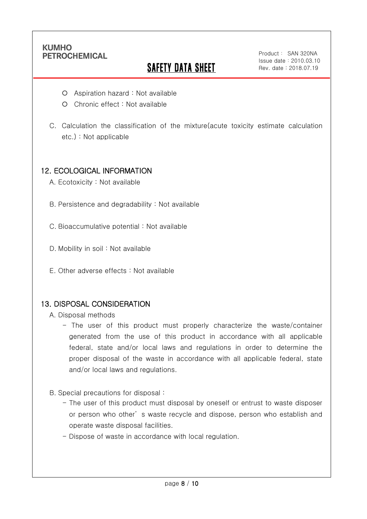Ī

# **SAFETY DATA SHEET**

Product: SAN 320NA Issue date:2010.03.10 Rev. date : 2018.07.19

- Aspiration hazard : Not available
- O Chronic effect : Not available
- C. Calculation the classification of the mixture(acute toxicity estimate calculation etc.) : Not applicable

### 12. ECOLOGICAL INFORMATION

- A. Ecotoxicity : Not available
- B. Persistence and degradability : Not available
- C. Bioaccumulative potential : Not available
- D. Mobility in soil: Not available
- E. Other adverse effects : Not available

### 13. DISPOSAL CONSIDERATION

- A. Disposal methods
	- The user of this product must properly characterize the waste/container generated from the use of this product in accordance with all applicable federal, state and/or local laws and regulations in order to determine the proper disposal of the waste in accordance with all applicable federal, state and/or local laws and regulations.
- B. Special precautions for disposal :
	- The user of this product must disposal by oneself or entrust to waste disposer or person who other' s waste recycle and dispose, person who establish and operate waste disposal facilities.
	- Dispose of waste in accordance with local regulation.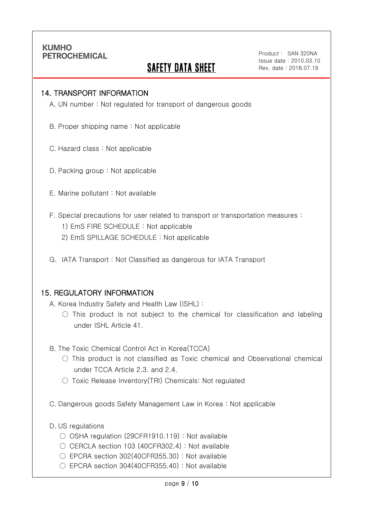Ī

## **SAFETY DATA SHEET**

Product: SAN 320NA Issue date:2010.03.10 Rev. date : 2018.07.19

#### 14. TRANSPORT INFORMATION

A. UN number : Not regulated for transport of dangerous goods

- B. Proper shipping name : Not applicable
- C. Hazard class : Not applicable
- D. Packing group : Not applicable
- E. Marine pollutant : Not available
- F. Special precautions for user related to transport or transportation measures :
	- 1) EmS FIRE SCHEDULE : Not applicable
	- 2) EmS SPILLAGE SCHEDULE : Not applicable
- G. IATA Transport : Not Classified as dangerous for IATA Transport

#### 15. REGULATORY INFORMATION

A. Korea Industry Safety and Health Law (ISHL) :

- $\bigcirc$  This product is not subject to the chemical for classification and labeling under ISHL Article 41.
- B. The Toxic Chemical Control Act in Korea(TCCA)
	- $\bigcirc$  This product is not classified as Toxic chemical and Observational chemical under TCCA Article 2.3. and 2.4.
	- Toxic Release Inventory(TRI) Chemicals: Not regulated
- C. Dangerous goods Safety Management Law in Korea : Not applicable
- D. US regulations
	- OSHA regulation (29CFR1910.119) : Not available
	- $\bigcirc$  CERCLA section 103 (40CFR302.4) : Not available
	- EPCRA section 302(40CFR355.30) : Not available
	- EPCRA section 304(40CFR355.40): Not available